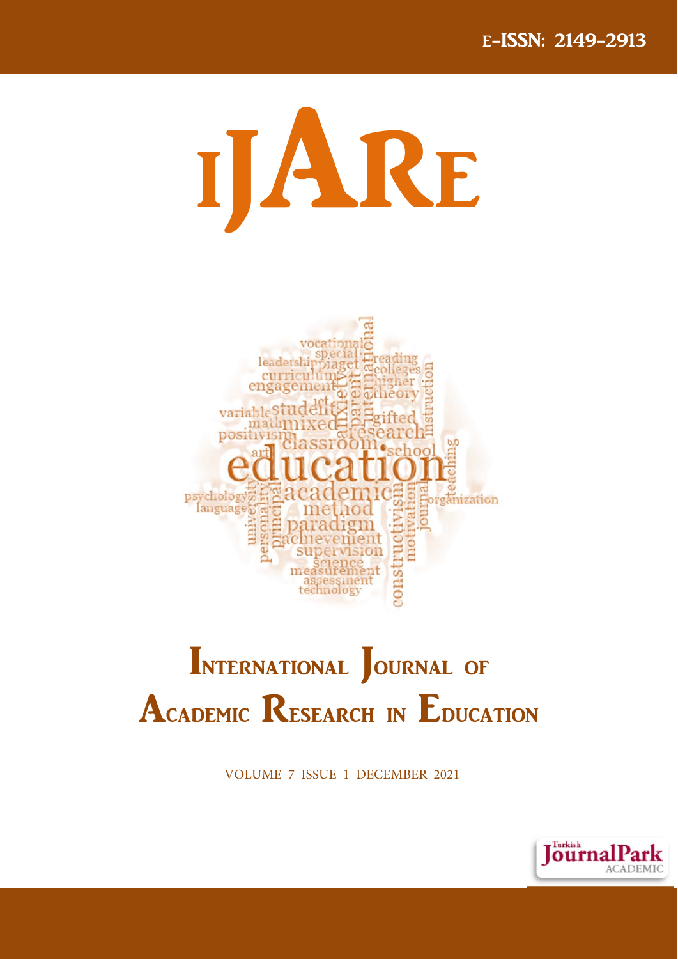



# INTERNATIONAL JOURNAL OF **ACADEMIC RESEARCH IN EDUCATION**

**VOLUME 7 ISSUE 1 DECEMBER 2021** 

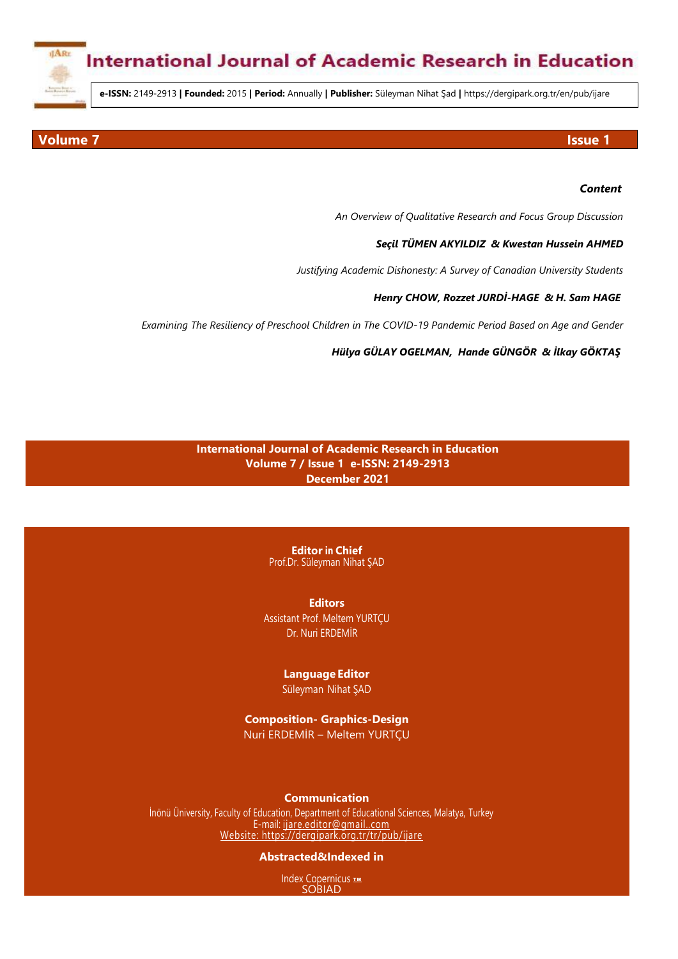

**e-ISSN:** 2149-2913 **| Founded:** 2015 **| Period:** Annually **| Publisher:** Süleyman Nihat Şad **|** https://dergipark.org.tr/en/pub/ijare

#### **Volume 7** Issue 1

#### *Content*

*An Overview of Qualitative Research and Focus Group Discussion*

#### *[Seçil TÜMEN AKYILDIZ](https://dergipark.org.tr/en/pub/@stakyildiz) & [Kwestan Hussein AHMED](https://dergipark.org.tr/en/pub/@B3C795-F5DBF7-1874B4-56FDB8-216E89-E11619-294291-243160-847853-3B58D6-785931-04)*

*Justifying Academic Dishonesty: A Survey of Canadian University Students*

#### *[Henry CHOW,](https://dergipark.org.tr/en/pub/@drhenrychow) [Rozzet JURDİ](https://dergipark.org.tr/en/pub/ijare/issue/63048/951714#article-authors-list)-HAGE & [H. Sam HAGE](https://dergipark.org.tr/en/pub/ijare/issue/63048/951714#article-authors-list)*

*Examining The Resiliency of Preschool Children in The COVID-19 Pandemic Period Based on Age and Gender*

*[Hülya GÜLAY OGELMAN](https://dergipark.org.tr/en/pub/@hulyagulay), [Hande GÜNGÖR](https://dergipark.org.tr/en/pub/@Hande%20G%C3%9CNG%C3%96R) & [İlkay GÖKTAŞ](https://dergipark.org.tr/en/pub/@ilkaygkts)*

### **International Journal of Academic Research in Education Volume 7 / Issue 1 e-ISSN: 2149-2913 December 2021**

**Editor in Chief** Prof.Dr. Süleyman Nihat ŞAD

**Editors** Assistant Prof. Meltem YURTÇU Dr. Nuri ERDEMİR

#### **Language Editor** Süleyman Nihat ŞAD

**Composition- Graphics-Design** Nuri ERDEMİR – Meltem YURTÇU

#### **Communication**

İnönü Üniversity, Faculty of Education, Department of Educational Sciences, Malatya, Turkey E-mail[: ijare.editor@gmail..com](mailto:ijare.editor@gmail..com) Website:<https://dergipark.org.tr/tr/pub/ijare>

#### **Abstracted&Indexed in**

mdex Copernicus<br>SOBIAD